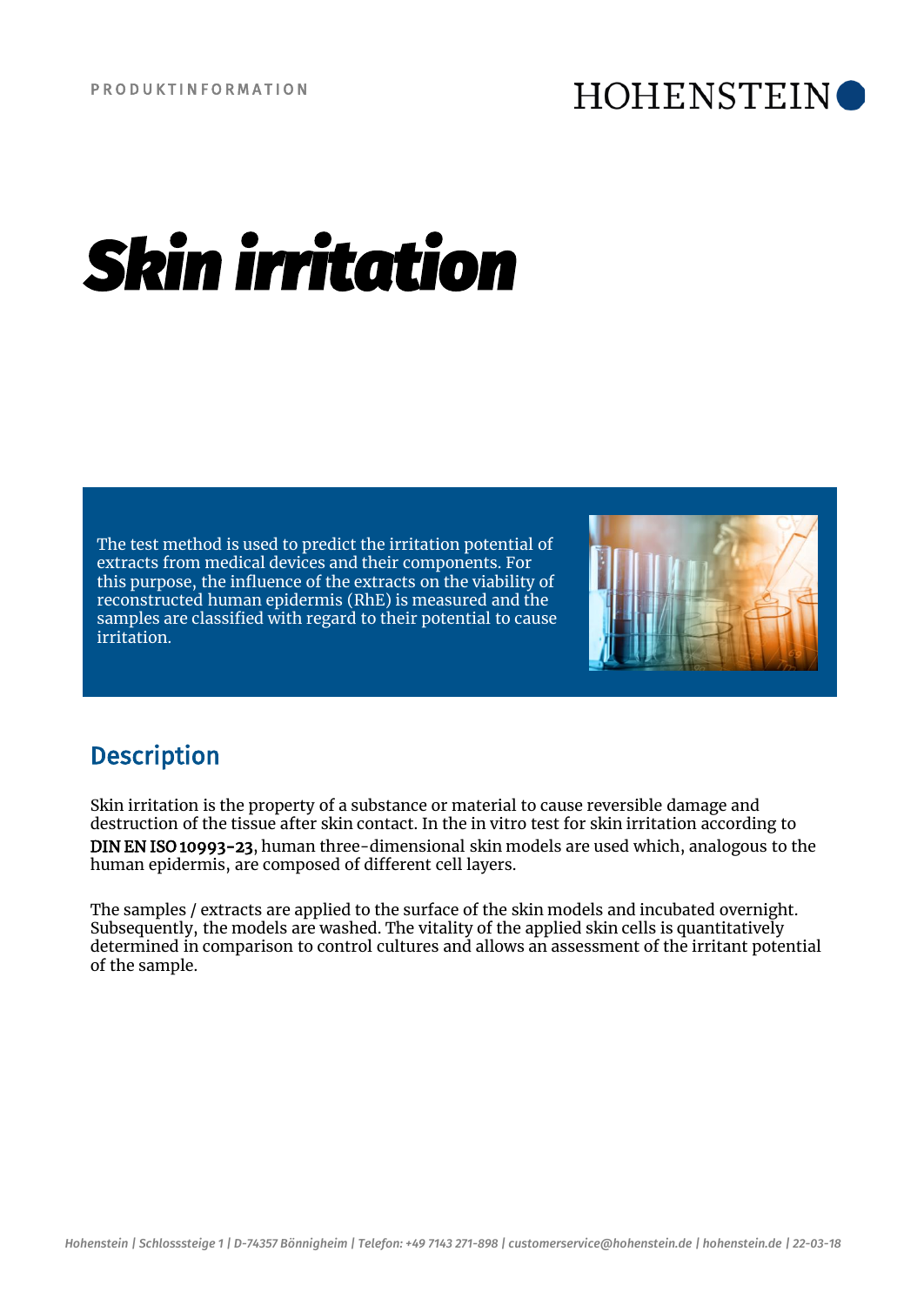## **HOHENSTEIN**

# *Skin irritation*

The test method is used to predict the irritation potential of extracts from medical devices and their components. For this purpose, the influence of the extracts on the viability of reconstructed human epidermis (RhE) is measured and the samples are classified with regard to their potential to cause irritation.



## **Description**

Skin irritation is the property of a substance or material to cause reversible damage and destruction of the tissue after skin contact. In the in vitro test for skin irritation according to DIN EN ISO 10993-23, human three-dimensional skin models are used which, analogous to the human epidermis, are composed of different cell layers.

The samples / extracts are applied to the surface of the skin models and incubated overnight. Subsequently, the models are washed. The vitality of the applied skin cells is quantitatively determined in comparison to control cultures and allows an assessment of the irritant potential of the sample.